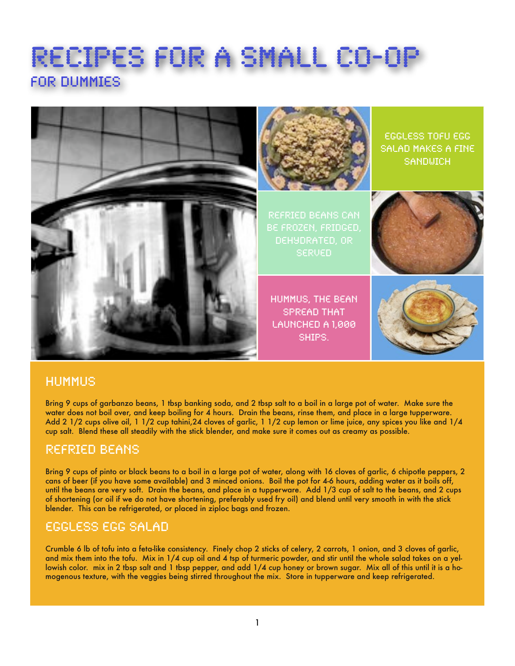# Recipes for a small co-op For dummies



#### Hummus

Bring 9 cups of garbanzo beans, 1 tbsp banking soda, and 2 tbsp salt to a boil in a large pot of water. Make sure the water does not boil over, and keep boiling for 4 hours. Drain the beans, rinse them, and place in a large tupperware. Add 2 1/2 cups olive oil, 1 1/2 cup tahini,24 cloves of garlic, 1 1/2 cup lemon or lime juice, any spices you like and 1/4 cup salt. Blend these all steadily with the stick blender, and make sure it comes out as creamy as possible.

## Refried beans

Bring 9 cups of pinto or black beans to a boil in a large pot of water, along with 16 cloves of garlic, 6 chipotle peppers, 2 cans of beer (if you have some available) and 3 minced onions. Boil the pot for 4-6 hours, adding water as it boils off, until the beans are very soft. Drain the beans, and place in a tupperware. Add 1/3 cup of salt to the beans, and 2 cups of shortening (or oil if we do not have shortening, preferably used fry oil) and blend until very smooth in with the stick blender. This can be refrigerated, or placed in ziploc bags and frozen.

## Eggless Egg Salad

Crumble 6 lb of tofu into a feta-like consistency. Finely chop 2 sticks of celery, 2 carrots, 1 onion, and 3 cloves of garlic, and mix them into the tofu. Mix in 1/4 cup oil and 4 tsp of turmeric powder, and stir until the whole salad takes on a yellowish color. mix in 2 tbsp salt and 1 tbsp pepper, and add 1/4 cup honey or brown sugar. Mix all of this until it is a homogenous texture, with the veggies being stirred throughout the mix. Store in tupperware and keep refrigerated.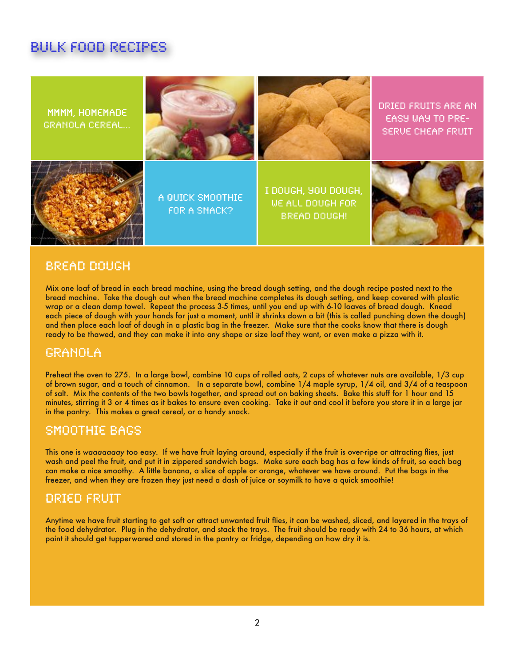# Bulk food recipes



#### Bread Dough

Mix one loaf of bread in each bread machine, using the bread dough setting, and the dough recipe posted next to the bread machine. Take the dough out when the bread machine completes its dough setting, and keep covered with plastic wrap or a clean damp towel. Repeat the process 3-5 times, until you end up with 6-10 loaves of bread dough. Knead each piece of dough with your hands for just a moment, until it shrinks down a bit (this is called punching down the dough) and then place each loaf of dough in a plastic bag in the freezer. Make sure that the cooks know that there is dough ready to be thawed, and they can make it into any shape or size loaf they want, or even make a pizza with it.

#### Granola

Preheat the oven to 275. In a large bowl, combine 10 cups of rolled oats, 2 cups of whatever nuts are available, 1/3 cup of brown sugar, and a touch of cinnamon. In a separate bowl, combine 1/4 maple syrup, 1/4 oil, and 3/4 of a teaspoon of salt. Mix the contents of the two bowls together, and spread out on baking sheets. Bake this stuff for 1 hour and 15 minutes, stirring it 3 or 4 times as it bakes to ensure even cooking. Take it out and cool it before you store it in a large jar in the pantry. This makes a great cereal, or a handy snack.

#### Smoothie bags

This one is *waaaaaaay* too easy. If we have fruit laying around, especially if the fruit is over-ripe or attracting flies, just wash and peel the fruit, and put it in zippered sandwich bags. Make sure each bag has a few kinds of fruit, so each bag can make a nice smoothy. A little banana, a slice of apple or orange, whatever we have around. Put the bags in the freezer, and when they are frozen they just need a dash of juice or soymilk to have a quick smoothie!

#### Dried Fruit

Anytime we have fruit starting to get soft or attract unwanted fruit flies, it can be washed, sliced, and layered in the trays of the food dehydrator. Plug in the dehydrator, and stack the trays. The fruit should be ready with 24 to 36 hours, at which point it should get tupperwared and stored in the pantry or fridge, depending on how dry it is.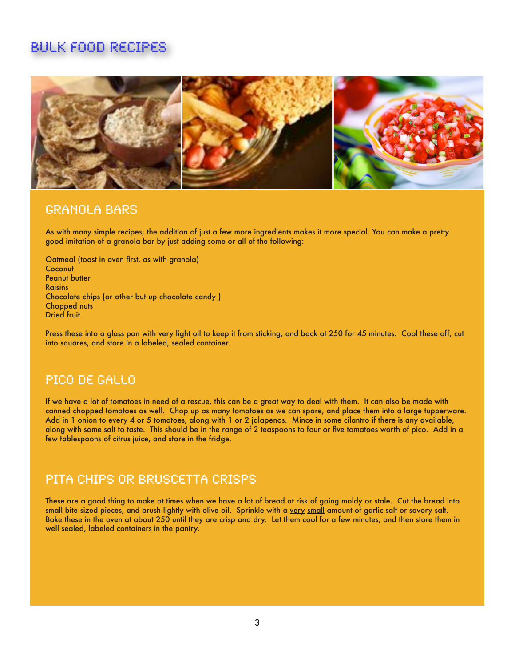# Bulk food Recipes



#### Granola bars

As with many simple recipes, the addition of just a few more ingredients makes it more special. You can make a pretty good imitation of a granola bar by just adding some or all of the following:

Oatmeal (toast in oven first, as with granola) **Coconut** Peanut butter Raisins Chocolate chips (or other but up chocolate candy ) Chopped nuts Dried fruit

Press these into a glass pan with very light oil to keep it from sticking, and back at 250 for 45 minutes. Cool these off, cut into squares, and store in a labeled, sealed container.

#### Pico De Gallo

If we have a lot of tomatoes in need of a rescue, this can be a great way to deal with them. It can also be made with canned chopped tomatoes as well. Chop up as many tomatoes as we can spare, and place them into a large tupperware. Add in 1 onion to every 4 or 5 tomatoes, along with 1 or 2 jalapenos. Mince in some cilantro if there is any available, along with some salt to taste. This should be in the range of 2 teaspoons to four or five tomatoes worth of pico. Add in a few tablespoons of citrus juice, and store in the fridge.

#### Pita Chips or bruscetta crisps

These are a good thing to make at times when we have a lot of bread at risk of going moldy or stale. Cut the bread into small bite sized pieces, and brush lightly with olive oil. Sprinkle with a very small amount of garlic salt or savory salt. Bake these in the oven at about 250 until they are crisp and dry. Let them cool for a few minutes, and then store them in well sealed, labeled containers in the pantry.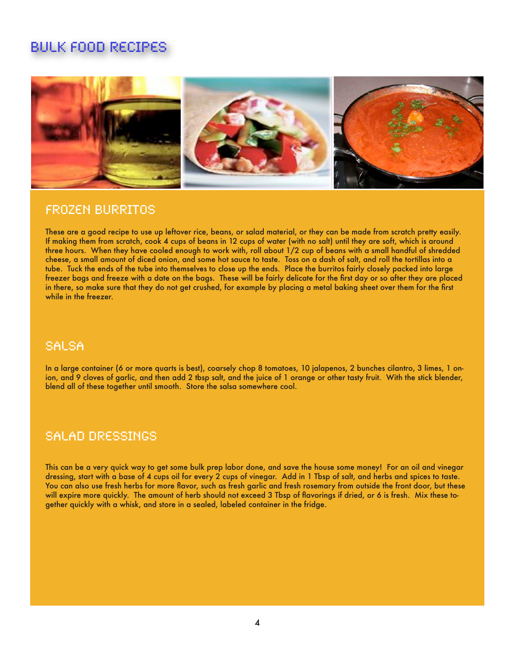## Bulk food Recipes



#### Frozen Burritos

These are a good recipe to use up leftover rice, beans, or salad material, or they can be made from scratch pretty easily. If making them from scratch, cook 4 cups of beans in 12 cups of water (with no salt) until they are soft, which is around three hours. When they have cooled enough to work with, roll about 1/2 cup of beans with a small handful of shredded cheese, a small amount of diced onion, and some hot sauce to taste. Toss on a dash of salt, and roll the tortillas into a tube. Tuck the ends of the tube into themselves to close up the ends. Place the burritos fairly closely packed into large freezer bags and freeze with a date on the bags. These will be fairly delicate for the first day or so after they are placed in there, so make sure that they do not get crushed, for example by placing a metal baking sheet over them for the first while in the freezer.

## Salsa

In a large container (6 or more quarts is best), coarsely chop 8 tomatoes, 10 jalapenos, 2 bunches cilantro, 3 limes, 1 onion, and 9 cloves of garlic, and then add 2 tbsp salt, and the juice of 1 orange or other tasty fruit. With the stick blender, blend all of these together until smooth. Store the salsa somewhere cool.

## Salad dressings

This can be a very quick way to get some bulk prep labor done, and save the house some money! For an oil and vinegar dressing, start with a base of 4 cups oil for every 2 cups of vinegar. Add in 1 Tbsp of salt, and herbs and spices to taste. You can also use fresh herbs for more flavor, such as fresh garlic and fresh rosemary from outside the front door, but these will expire more quickly. The amount of herb should not exceed 3 Tbsp of flavorings if dried, or 6 is fresh. Mix these together quickly with a whisk, and store in a sealed, labeled container in the fridge.